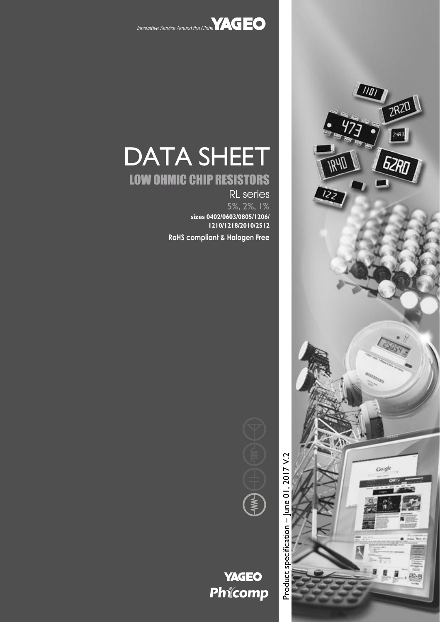



# LOW OHMIC CHIP RESISTORS

RL series 5%, 2%, 1% **sizes 0402/0603/0805/1206/ 1210/1218/2010/2512**

**RoHS compliant & Halogen Free**

Product specification - June 01, 2017 V.2





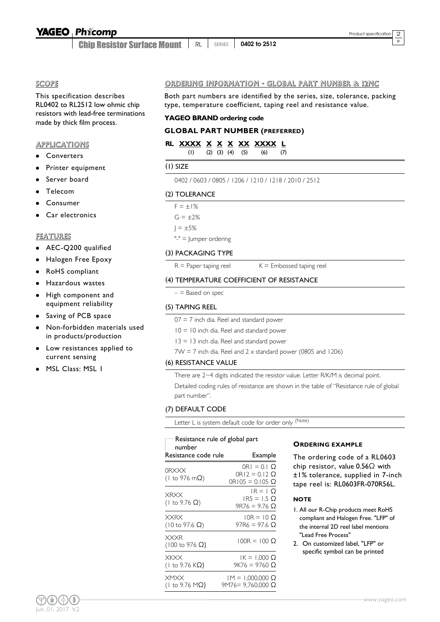Chip Resistor Surface Mount RL SERIES **0402 to 2512** 9

**SCOPE** 

This specification describes RL0402 to RL2512 low ohmic chip resistors with lead-free terminations made by thick film process.

#### APPLICATIONS

- Converters
- Printer equipment
- Server board
- Telecom
- Consumer
- Car electronics

#### FEATURES

- AEC-Q200 qualified
- Halogen Free Epoxy
- RoHS compliant
- Hazardous wastes
- High component and equipment reliability
- Saving of PCB space
- Non-forbidden materials used in products/production
- Low resistances applied to current sensing
- MSL Class: MSL 1

#### ORDERING INFORMATION - GLOBAL PART NUMBER & 12NC

Both part numbers are identified by the series, size, tolerance, packing type, temperature coefficient, taping reel and resistance value.

#### **YAGEO BRAND ordering code**

#### **GLOBAL PART NUMBER (PREFERRED)**

|  |  |  |  |  |  | RL XXXX X X X XX XXXX L |  |
|--|--|--|--|--|--|-------------------------|--|
|--|--|--|--|--|--|-------------------------|--|

|            | $(2)$ $(3)$ $(4)$ $(5)$ | (6) |  |
|------------|-------------------------|-----|--|
| $(I)$ SIZE |                         |     |  |

### 0402 / 0603 / 0805 / 1206 / 1210 / 1218 / 2010 / 2512

#### (2) TOLERANCE

 $F = \pm 1\%$  $G = \pm 2%$  $I = \pm 5%$ 

"-" = Jumper ordering

#### (3) PACKAGING TYPE

 $R =$  Paper taping reel  $K =$  Embossed taping reel

#### (4) TEMPERATURE COEFFICIENT OF RESISTANCE

 $-$  = Based on spec

#### (5) TAPING REEL

#### $07 = 7$  inch dia. Reel and standard power

- $10 = 10$  inch dia. Reel and standard power
- $13 = 13$  inch dia. Reel and standard power
- $7W = 7$  inch dia. Reel and  $2 \times$  standard power (0805 and 1206)

#### (6) RESISTANCE VALUE

There are 2~4 digits indicated the resistor value. Letter R/K/M is decimal point. Detailed coding rules of resistance are shown in the table of "Resistance rule of global part number".

#### (7) DEFAULT CODE

Letter L is system default code for order only (Note)

| $\Box$ Resistance rule of global part<br>number |                                                                            |
|-------------------------------------------------|----------------------------------------------------------------------------|
| Resistance code rule                            | Example                                                                    |
| 0RXXX<br>(1 to 976 m $\Omega$ )                 | $ORI = 0.1$ $\Omega$<br>$OR12 = 0.12$ $\Omega$<br>$OR105 = 0.105$ $\Omega$ |
| <b>XRXX</b><br>(1 to 9.76 $\Omega$ )            | $IR = 1$ O<br>$IR5 = 1.5$ Q<br>9R76 = 9.76 Ω                               |
| <b>XXRX</b><br>$(10 \text{ to } 97.6 \Omega)$   | $10R = 10 \Omega$<br>97R6 = 97.6 O                                         |
| <b>XXXR</b><br>$(100 \text{ to } 976 \Omega)$   | $100R = 100 \Omega$                                                        |
| <b>XKXX</b><br>(1 to 9.76 K $\Omega$ )          | IK = 1,000 Ω<br>9K76 = 9760 Ω                                              |
| <b>XMXX</b><br>(Ι to 9.76 MΩ)                   | $IM = 1,000,000 \Omega$<br>9M76 = 9,760,000 Ω                              |

#### **ORDERING EXAMPLE**

The ordering code of a RL0603 chip resistor, value 0.56Ω with ±1% tolerance, supplied in 7-inch tape reel is: RL0603FR-070R56L.

#### **NOTE**

- 1. All our R-Chip products meet RoHS compliant and Halogen Free. "LFP" of the internal 2D reel label mentions "Lead Free Process"
- 2. On customized label, "LFP" or specific symbol can be printed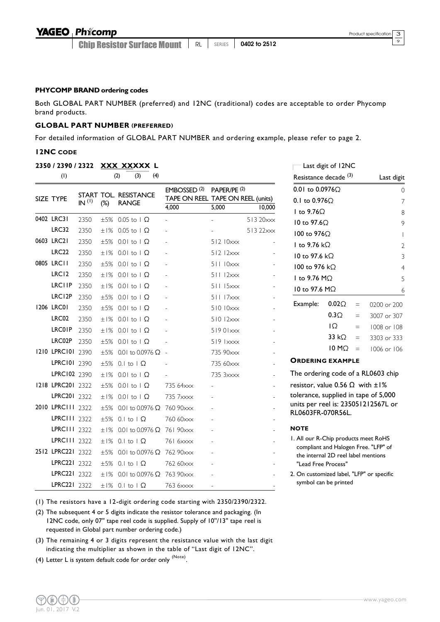9

#### **P HYCOMP BRAND ordering codes**

Both GLOBAL PART NUMBER (preferred) and 12NC (traditional) codes are acceptable to order Phycomp brand products.

#### **GLOBAL PART NUMBER (PREFERRED)**

For detailed information of GLOBAL PART NUMBER and ordering example, please refer to page 2.

#### **12NC CODE**

|                   |                   |        | 2350 / 2390 / 2322 XXX XXXXX L                |                         |                                                              |                |                                              | Last digit of 12NC |          |                                      |
|-------------------|-------------------|--------|-----------------------------------------------|-------------------------|--------------------------------------------------------------|----------------|----------------------------------------------|--------------------|----------|--------------------------------------|
| (1)               |                   |        | (3)<br>(2)<br>(4)                             |                         |                                                              |                | Resistance decade <sup>(3)</sup>             |                    |          | Last digit                           |
| SIZE TYPE         | IN <sup>(1)</sup> | $(\%)$ | START TOL. RESISTANCE<br><b>RANGE</b>         | EMBOSSED <sup>(2)</sup> | PAPER/PE <sup>(2)</sup><br>TAPE ON REEL TAPE ON REEL (units) |                | 0.01 to 0.0976Ω<br>0.1 to $0.976\Omega$      |                    |          | C<br>7                               |
|                   |                   |        |                                               | 4,000                   | 5,000                                                        | 10,000         | I to $9.76\Omega$                            |                    |          | 8                                    |
| 0402 LRC31        | 2350              |        | $\pm 5\%$ 0.05 to 1 $\Omega$                  |                         |                                                              | 513 20xxx      | I0 to 97.6Ω                                  |                    |          | 9                                    |
| LRC32             | 2350              | ±1%    | $0.05$ to $\vert \Omega \vert$                |                         |                                                              | 513 22xxx      | 100 to 976Ω                                  |                    |          |                                      |
| 0603 LRC21        | 2350              | ±5%    | $0.01$ to $1 \Omega$                          |                         | 512 10xxx                                                    |                | I to 9.76 k $\Omega$                         |                    |          |                                      |
| LRC <sub>22</sub> | 2350              | ±1%    | $0.01$ to $1 \Omega$                          |                         | 51212xxx                                                     |                | 10 to 97.6 kΩ                                |                    |          |                                      |
| 0805 LRC11        | 2350              | ±5%    | $0.01$ to $1 \Omega$                          |                         | 511 10xxx                                                    |                | 100 to 976 kΩ                                |                    |          |                                      |
| LRC <sub>12</sub> | 2350              | ±1%    | $0.01$ to $1 \Omega$                          |                         | 51112xxx                                                     |                | I to 9.76 MΩ                                 |                    |          | 5                                    |
| LRCIIP            | 2350              | ±1%    | $0.01$ to $1 \Omega$                          |                         | $511$ $15xxx$                                                |                | 10 to 97.6 MΩ                                |                    |          | 6                                    |
| LRC12P            | 2350              | ±5%    | $0.01$ to $\Omega$                            |                         | 51117xxx                                                     |                |                                              |                    |          |                                      |
| 1206 LRC01        | 2350              | ±5%    | $0.01$ to $1 \Omega$                          |                         | 510 10xxx                                                    |                | Example:                                     | $0.02\Omega$       | $=$      | 0200 or 200                          |
| LRC02             | 2350              | ±1%    | $0.01$ to $1 \Omega$                          |                         | 51012xxx                                                     |                |                                              | $0.3\Omega$        | $\equiv$ | 3007 or 307                          |
| <b>LRC01P</b>     | 2350              | ±1%    | $0.01$ to $1 \Omega$                          |                         | 51901xxx                                                     |                |                                              | IΩ                 | $=$      | 1008 or 108                          |
| LRC02P            | 2350              | ±5%    | $0.01$ to $1 \Omega$                          |                         | $519$ $\overline{\text{xxxx}}$                               |                |                                              | 33 $k\Omega$       | $=$      | 3303 or 333                          |
| 1210 LPRC101 2390 |                   | ±5%    | $0.01$ to 0.0976 $\Omega$ -                   |                         | 735 90xxx                                                    |                |                                              | $10 M\Omega$       | $\equiv$ | 1006 or 106                          |
| LPRC101 2390      |                   | ±5%    | $0.1$ to $1 \Omega$                           |                         | 735 60xxx                                                    |                | <b>ORDERING EXAMPLE</b>                      |                    |          |                                      |
| LPRC102 2390      |                   | ±1%    | $0.01$ to $1 \Omega$                          |                         | 735 3xxxx                                                    | $\overline{a}$ |                                              |                    |          | The ordering code of a RL0603 chip   |
| 1218 LPRC201 2322 |                   | ±5%    | $0.01$ to $1 \Omega$                          | 735 64xxx               |                                                              |                | resistor, value 0.56 $\Omega$ with $\pm 1\%$ |                    |          |                                      |
| LPRC201 2322      |                   | ±1%    | $0.01$ to $1 \Omega$                          | 735 7xxxx               |                                                              |                | tolerance, supplied in tape of 5,000         |                    |          |                                      |
| 2010 LPRC111 2322 |                   | ±5%    | $0.01$ to 0.0976 $\Omega$                     | 760 90xxx               |                                                              |                |                                              |                    |          | units per reel is: 235051212567L or  |
| LPRC111 2322      |                   | ±5%    | $0.1$ to $1 \Omega$                           | 760 60xxx               |                                                              |                | RL0603FR-070R56L.                            |                    |          |                                      |
| LPRC111 2322      |                   | ±1%    | 0.01 to 0.0976 Ω 761 90 $x \times$            |                         |                                                              |                | <b>NOTE</b>                                  |                    |          |                                      |
| LPRC111 2322      |                   | ±1%    | 0.1 to $\Omega$                               | 761 6xxxx               |                                                              |                | I. All our R-Chip products meet RoHS         |                    |          |                                      |
| 2512 LPRC221 2322 |                   | ±5%    | 0.01 to 0.0976 $\Omega$ 762 90 $\times$       |                         |                                                              |                | the internal 2D reel label mentions          |                    |          | compliant and Halogen Free. "LFP" of |
| LPRC221 2322      |                   | ±5%    | 0.1 to $\Omega$                               | 762 60xxx               |                                                              |                | "Lead Free Process"                          |                    |          |                                      |
| LPRC221 2322      |                   | ±1%    | 0.01 to 0.0976 $\Omega$ 763 90 $\times\times$ |                         |                                                              |                | 2. On customized label, "LFP" or specific    |                    |          |                                      |
| LPRC221 2322      |                   |        | $\pm 1\%$ 0.1 to 1 $\Omega$                   | 763 6xxxx               |                                                              |                | symbol can be printed                        |                    |          |                                      |

(1) The resistors have a 12-digit ordering code starting with 2350/2390/2322.

- (2) The subsequent 4 or 5 digits indicate the resistor tolerance and packaging. (In 12NC code, only 07'' tape reel code is supplied. Supply of 10''/13'' tape reel is requested in Global part number ordering code.)
- (3) The remaining 4 or 3 digits represent the resistance value with the last digit indicating the multiplier as shown in the table of "Last digit of 12NC".
- (4) Letter L is system default code for order only  $^{(\text{Note})}$ .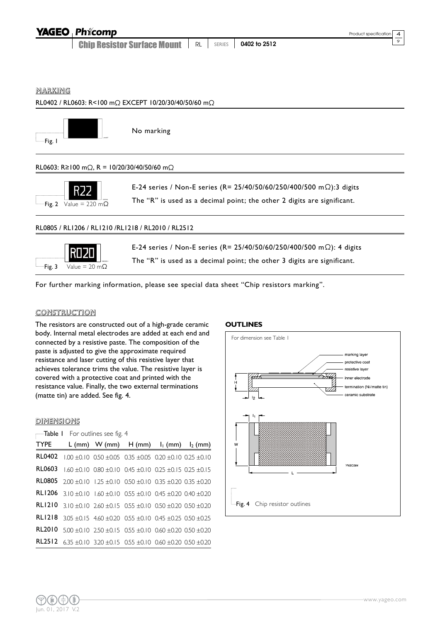| <b>YAGEO</b> Phicomp |  |
|----------------------|--|
|                      |  |

**Chip Resistor Surface Mount | RL | SERIES | 0402 to 2512** 

 $\circ$ 

MARKING



For further marking information, please see special data sheet "Chip resistors marking".

#### CONSTRUCTION

The resistors are constructed out of a high-grade ceramic body. Internal metal electrodes are added at each end and connected by a resistive paste. The composition of the paste is adjusted to give the approximate required resistance and laser cutting of this resistive layer that achieves tolerance trims the value. The resistive layer is covered with a protective coat and printed with the resistance value. Finally, the two external terminations (matte tin) are added. See fig. 4.

#### DIMENSIONS

 $\overline{\phantom{a}}$ Table I For outlines see fig. 4

| <b>TYPE</b> |                                                                                               | L (mm) W (mm) $H (mm)$ $I_1 (mm)$ $I_2 (mm)$ |  |
|-------------|-----------------------------------------------------------------------------------------------|----------------------------------------------|--|
|             | <b>RL0402</b> 1.00 $\pm$ 0.10 0.50 $\pm$ 0.05 0.35 $\pm$ 0.05 0.20 $\pm$ 0.10 0.25 $\pm$ 0.10 |                                              |  |
|             | <b>RL0603</b> 1.60 ±0.10 0.80 ±0.10 0.45 ±0.10 0.25 ±0.15 0.25 ±0.15                          |                                              |  |
|             | <b>RL0805</b> 2.00 $\pm$ 0.10 1.25 $\pm$ 0.10 0.50 $\pm$ 0.10 0.35 $\pm$ 0.20 0.35 $\pm$ 0.20 |                                              |  |
|             | <b>RL1206</b> 3.10 $\pm$ 0.10 1.60 $\pm$ 0.10 0.55 $\pm$ 0.10 0.45 $\pm$ 0.20 0.40 $\pm$ 0.20 |                                              |  |
|             | <b>RL1210</b> 3.10 $\pm$ 0.10 2.60 $\pm$ 0.15 0.55 $\pm$ 0.10 0.50 $\pm$ 0.20 0.50 $\pm$ 0.20 |                                              |  |
|             | <b>RL1218</b> 3.05 $\pm$ 0.15 4.60 $\pm$ 0.20 0.55 $\pm$ 0.10 0.45 $\pm$ 0.25 0.50 $\pm$ 0.25 |                                              |  |
|             | <b>RL2010</b> $5.00 \pm 0.10$ 2.50 $\pm 0.15$ 0.55 $\pm 0.10$ 0.60 $\pm 0.20$ 0.50 $\pm 0.20$ |                                              |  |
|             | <b>RL2512</b> 6.35 $\pm$ 0.10 3.20 $\pm$ 0.15 0.55 $\pm$ 0.10 0.60 $\pm$ 0.20 0.50 $\pm$ 0.20 |                                              |  |

#### **OUTLINES**

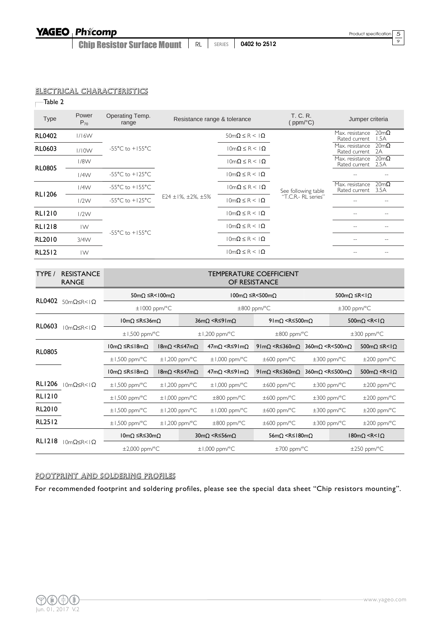**Chip Resistor Surface Mount | RL | SERIES | 0402 to 2512** 

 $rac{5}{9}$ 

#### ELECTRICAL CHARACTERISTICS

 $\overline{\phantom{a}}$ Table 2

| <b>Type</b>   | Power<br>$P_{70}$      | Operating Temp.<br>range            | Resistance range & tolerance |                                      | T. C. R.<br>(ppm/ $^{\circ}$ C)            | Jumper criteria                                         |
|---------------|------------------------|-------------------------------------|------------------------------|--------------------------------------|--------------------------------------------|---------------------------------------------------------|
| <b>RL0402</b> | 1/16W                  |                                     |                              | $50 \text{m}\Omega \leq R < 1\Omega$ |                                            | $20m\Omega$<br>Max. resistance<br>1.5A<br>Rated current |
| <b>RL0603</b> | 1/10W                  | $-55^{\circ}$ C to $+155^{\circ}$ C |                              | $10m\Omega \leq R \leq 1\Omega$      |                                            | $20m\Omega$<br>Max. resistance<br>2A<br>Rated current   |
|               | 1/8W                   |                                     |                              | $10m\Omega \leq R \leq 1\Omega$      | See following table<br>"T.C.R.- RL series" | $20m\Omega$<br>Max. resistance<br>Rated current<br>2.5A |
| <b>RL0805</b> | 1/4W                   | $-55^{\circ}$ C to $+125^{\circ}$ C |                              | $10m\Omega \leq R \leq 1\Omega$      |                                            |                                                         |
|               | 1/4W                   | $-55^{\circ}$ C to $+155^{\circ}$ C | E24 ± $1\%$ , ± 2%, ± 5%     | $10m\Omega \leq R \leq 1\Omega$      |                                            | $20m\Omega$<br>Max. resistance<br>3.5A<br>Rated current |
| <b>RL1206</b> | 1/2W                   | $-55^{\circ}$ C to $+125^{\circ}$ C |                              | $10m\Omega \leq R \leq 1\Omega$      |                                            |                                                         |
| <b>RL1210</b> | 1/2W                   |                                     |                              | $10m\Omega \leq R \leq 1\Omega$      |                                            |                                                         |
| <b>RL1218</b> | $\mathsf{I}\mathsf{W}$ |                                     |                              | $10m\Omega \leq R \leq 1\Omega$      |                                            |                                                         |
| RL2010        | 3/4W                   | $-55^{\circ}$ C to $+155^{\circ}$ C |                              | $10m\Omega \leq R \leq 1\Omega$      |                                            |                                                         |
| <b>RL2512</b> | IW                     |                                     |                              | $10m\Omega \leq R \leq 1\Omega$      |                                            |                                                         |

| TYPE /        | <b>RESISTANCE</b><br><b>RANGE</b> | <b>TEMPERATURE COEFFICIENT</b><br>OF RESISTANCE |                                   |                                   |                                                 |                                                                                             |                                                             |                                     |                                           |  |
|---------------|-----------------------------------|-------------------------------------------------|-----------------------------------|-----------------------------------|-------------------------------------------------|---------------------------------------------------------------------------------------------|-------------------------------------------------------------|-------------------------------------|-------------------------------------------|--|
| <b>RL0402</b> |                                   | $50m\Omega \leq R < 100m\Omega$                 |                                   |                                   |                                                 | $100m\Omega \leq R \leq 500m\Omega$                                                         |                                                             | 500mΩ ≤R <lω< th=""><th></th></lω<> |                                           |  |
|               | $50m\Omega \leq R <   \Omega$     |                                                 | $\pm 1000$ ppm/°C                 |                                   |                                                 | $\pm 800$ ppm/°C                                                                            |                                                             | $\pm 300$ ppm/°C                    |                                           |  |
| <b>RL0603</b> |                                   | $10mO$ ≤R≤36mO                                  |                                   |                                   | $36m\Omega \leq R \leq 91m\Omega$               |                                                                                             | 9 Im $\Omega$ <r <math="">\leq 500 m<math>\Omega</math></r> |                                     | 500m $\Omega$ <r<1<math>\Omega</r<1<math> |  |
|               | $10m\Omega \leq R <   \Omega$     | $\pm$ 1,500 ppm/°C                              |                                   |                                   | $\pm$ 1,200 ppm/°C                              | $\pm 800$ ppm/°C                                                                            |                                                             | $\pm 300$ ppm/°C                    |                                           |  |
| <b>RL0805</b> |                                   | 10mΩ ≤ R≤18mΩ                                   | $18m\Omega \leq R \leq 47m\Omega$ |                                   | $47mQ \leq R \leq 91mQ$                         | $91 \text{m}\Omega \le R \le 360 \text{m}\Omega$ 360m $\Omega \le R \le 500 \text{m}\Omega$ |                                                             |                                     | $500 \text{m} \Omega \leq R < l \Omega$   |  |
|               |                                   | $\pm$ 1,500 ppm/°C                              |                                   | $\pm$ 1,200 ppm/°C                | $\pm$ 1,000 ppm/°C                              | $\pm 600$ ppm/°C                                                                            |                                                             | $\pm 300$ ppm/°C                    | $\pm 200$ ppm/ $\degree$ C                |  |
|               |                                   | 10mΩ ≤ R≤18mΩ                                   |                                   | $18m\Omega \leq R \leq 47m\Omega$ | $47mQ \leq R \leq 91mQ$                         | $91 \text{mO}$ <r <math="">\leq 360mO</r>                                                   | $360 \text{m} \Omega \leq R \leq 500 \text{m} \Omega$       |                                     | $500 \text{m} \Omega \le R \le 1 \Omega$  |  |
| <b>RLI206</b> | $10mQ\leq R<1Q$                   | $\pm$ 1,500 ppm/°C                              |                                   | $\pm$ 1,200 ppm/°C                | $\pm$ 1,000 ppm/°C                              | $\pm 600$ ppm/°C                                                                            |                                                             | $\pm 300$ ppm/°C                    | $\pm 200$ ppm/°C                          |  |
| <b>RLI210</b> |                                   | $\pm$ 1,500 ppm/°C                              |                                   | $\pm$ 1,000 ppm/°C                | $\pm 800$ ppm/°C                                | $\pm 600$ ppm/°C                                                                            |                                                             | $\pm 300$ ppm/°C                    | $\pm 200$ ppm/ $\degree$ C                |  |
| RL2010        |                                   | $\pm$ 1,500 ppm/°C                              |                                   | $\pm$ 1,200 ppm/°C                | $\pm$ 1,000 ppm/°C                              | $\pm 600$ ppm/°C                                                                            |                                                             | $\pm 300$ ppm/°C                    | $\pm 200$ ppm/ $\degree$ C                |  |
| RL2512        |                                   | $\pm$ 1,500 ppm/°C                              |                                   | $\pm$ 1,200 ppm/°C                | $\pm 800$ ppm/°C                                | $\pm 600$ ppm/°C                                                                            |                                                             | $\pm 300$ ppm/°C                    | $\pm 200$ ppm/ $\degree$ C                |  |
|               |                                   | $10m\Omega \leq R \leq 30m\Omega$               |                                   |                                   | $30 \text{m}\Omega \le R \le 56 \text{m}\Omega$ | $56m\Omega \leq R \leq 180m\Omega$                                                          |                                                             |                                     | $180 \text{m} \Omega \le R \le 1 \Omega$  |  |
| <b>RLI218</b> | $10m\Omega \leq R <   \Omega$     | $\pm 2,000$ ppm/°C                              |                                   |                                   | $\pm$ 1,000 ppm/°C                              | $\pm 700$ ppm/°C                                                                            |                                                             |                                     | $\pm 250$ ppm/°C                          |  |

#### FOOTPRINT AND SOLDERING PROFILES

For recommended footprint and soldering profiles, please see the special data sheet "Chip resistors mounting".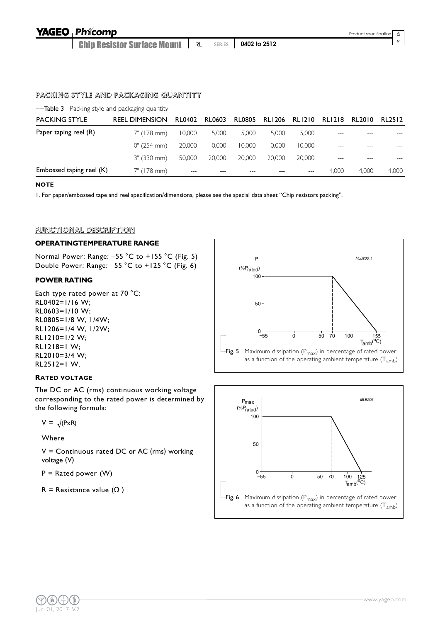Chip Resistor Surface Mount RL SERIES **0402 to 2512**  $\circ$ 

#### PACKING STYLE AND PACKAGING QUANTITY

| $\blacksquare$ Table 3 Packing style and packaging quantity |                       |               |               |               |               |               |               |        |        |
|-------------------------------------------------------------|-----------------------|---------------|---------------|---------------|---------------|---------------|---------------|--------|--------|
| <b>PACKING STYLE</b>                                        | <b>REEL DIMENSION</b> | <b>RL0402</b> | <b>RL0603</b> | <b>RL0805</b> | <b>RL1206</b> | <b>RLI210</b> | <b>RLI218</b> | RL2010 | RL2512 |
| Paper taping reel (R)                                       | 7" (178 mm)           | 10,000        | 5,000         | 5,000         | 5.000         | 5,000         |               |        |        |
|                                                             | 10" (254 mm)          | 20,000        | 10,000        | 10.000        | 10.000        | 10.000        |               |        |        |
|                                                             | 13" (330 mm)          | 50,000        | 20,000        | 20,000        | 20,000        | 20,000        |               |        |        |
| Embossed taping reel (K)                                    | 7" (178 mm)           | $- - -$       |               |               |               |               | 4.000         | 4.000  | 4,000  |

#### **NOTE**

1. For paper/embossed tape and reel specification/dimensions, please see the special data sheet "Chip resistors packing".

#### FUNCTIONAL DESCRIPTION

#### **OPERATINGTEMPERATURE RANGE**

Normal Power: Range: –55 °C to +155 °C (Fig. 5) Double Power: Range: –55 °C to +125 °C (Fig. 6)

#### **POWER RATING**

Each type rated power at 70 °C: RL0402=1/16 W; RL0603=1/10 W; RL0805=1/8 W, 1/4W; RL1206=1/4 W, 1/2W; RL1210=1/2 W; RL1218=1 W; RL2010=3/4 W; RL2512=1 W.

#### **RATED VOLTAGE**

The DC or AC (rms) continuous working voltage corresponding to the rated power is determined by the following formula:

 $V = \sqrt{(PxR)}$ 

Where

V = Continuous rated DC or AC (rms) working voltage (V)

 $P =$  Rated power  $(W)$ 

R = Resistance value  $(\Omega)$ 



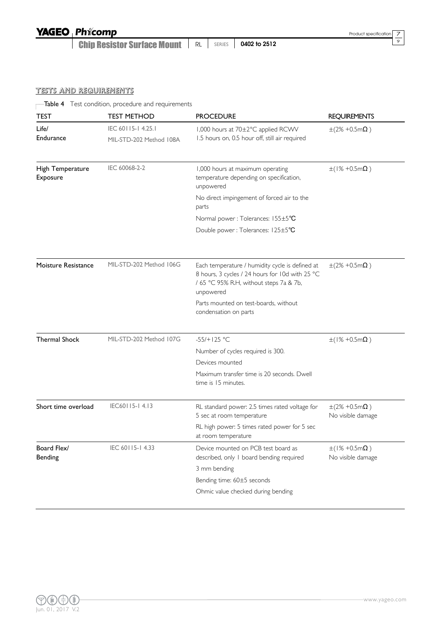**Chip Resistor Surface Mount | RL | SERIES | 0402 to 2512** 

 $\frac{7}{9}$ 

#### TESTS AND REQUIREMENTS

Table 4 Test condition, procedure and requirements

| <b>TEST</b>                  | <b>TEST METHOD</b>                           | <b>PROCEDURE</b>                                                                                                                                           | <b>REQUIREMENTS</b>                                    |
|------------------------------|----------------------------------------------|------------------------------------------------------------------------------------------------------------------------------------------------------------|--------------------------------------------------------|
| Life/<br>Endurance           | IEC 60115-14.25.1<br>MIL-STD-202 Method 108A | 1,000 hours at 70±2°C applied RCWV<br>1.5 hours on, 0.5 hour off, still air required                                                                       | $\pm(2\% + 0.5 \,\text{m}\Omega)$                      |
|                              |                                              |                                                                                                                                                            |                                                        |
| High Temperature<br>Exposure | IEC 60068-2-2                                | 1,000 hours at maximum operating<br>temperature depending on specification,<br>unpowered                                                                   | $\pm$ (1% +0.5m $\Omega$ )                             |
|                              |                                              | No direct impingement of forced air to the<br>parts                                                                                                        |                                                        |
|                              |                                              | Normal power: Tolerances: 155±5°C                                                                                                                          |                                                        |
|                              |                                              | Double power: Tolerances: 125±5°C                                                                                                                          |                                                        |
| Moisture Resistance          | MIL-STD-202 Method 106G                      | Each temperature / humidity cycle is defined at<br>8 hours, 3 cycles / 24 hours for 10d with 25 °C<br>/ 65 °C 95% R.H, without steps 7a & 7b,<br>unpowered | $\pm(2\% + 0.5 \,\text{m}\Omega)$                      |
|                              |                                              | Parts mounted on test-boards, without<br>condensation on parts                                                                                             |                                                        |
| <b>Thermal Shock</b>         | MIL-STD-202 Method 107G                      | $-55/+125 °C$                                                                                                                                              | $±(1% +0.5mΩ)$                                         |
|                              |                                              | Number of cycles required is 300.                                                                                                                          |                                                        |
|                              |                                              | Devices mounted                                                                                                                                            |                                                        |
|                              |                                              | Maximum transfer time is 20 seconds, Dwell<br>time is 15 minutes.                                                                                          |                                                        |
| Short time overload          | IEC60115-14.13                               | RL standard power: 2.5 times rated voltage for<br>5 sec at room temperature                                                                                | $\pm(2\% + 0.5 \,\text{m}\Omega)$<br>No visible damage |
|                              |                                              | RL high power: 5 times rated power for 5 sec<br>at room temperature                                                                                        |                                                        |
| Board Flex/<br>Bending       | IEC 60115-14.33                              | Device mounted on PCB test board as<br>described, only I board bending required                                                                            | $\pm$ (1% +0.5mΩ)<br>No visible damage                 |
|                              |                                              | 3 mm bending                                                                                                                                               |                                                        |
|                              |                                              | Bending time: 60±5 seconds                                                                                                                                 |                                                        |
|                              |                                              | Ohmic value checked during bending                                                                                                                         |                                                        |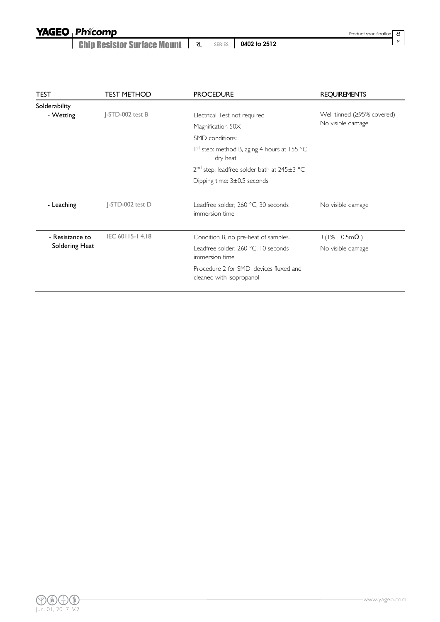**Chip Resistor Surface Mount | RL | SERIES | 0402 to 2512** 

Product specification

 $\frac{8}{9}$ 

| <b>TEST</b>     | <b>TEST METHOD</b> | <b>PROCEDURE</b>                                                    | <b>REQUIREMENTS</b>        |
|-----------------|--------------------|---------------------------------------------------------------------|----------------------------|
| Solderability   |                    |                                                                     |                            |
| - Wetting       | J-STD-002 test B   | Electrical Test not required                                        | Well tinned (≥95% covered) |
|                 |                    | Magnification 50X                                                   | No visible damage          |
|                 |                    | SMD conditions:                                                     |                            |
|                 |                    | I <sup>st</sup> step: method B, aging 4 hours at 155 °C<br>dry heat |                            |
|                 |                    | $2nd$ step: leadfree solder bath at $245±3$ °C                      |                            |
|                 |                    | Dipping time: $3\pm0.5$ seconds                                     |                            |
|                 |                    |                                                                     |                            |
| - Leaching      | J-STD-002 test D   | Leadfree solder, 260 °C, 30 seconds<br>immersion time               | No visible damage          |
| - Resistance to | IEC 60115-14.18    | Condition B, no pre-heat of samples.                                | $±(1% +0.5mΩ)$             |
| Soldering Heat  |                    | Leadfree solder, 260 °C, 10 seconds<br>immersion time               | No visible damage          |
|                 |                    | Procedure 2 for SMD: devices fluxed and<br>cleaned with isopropanol |                            |